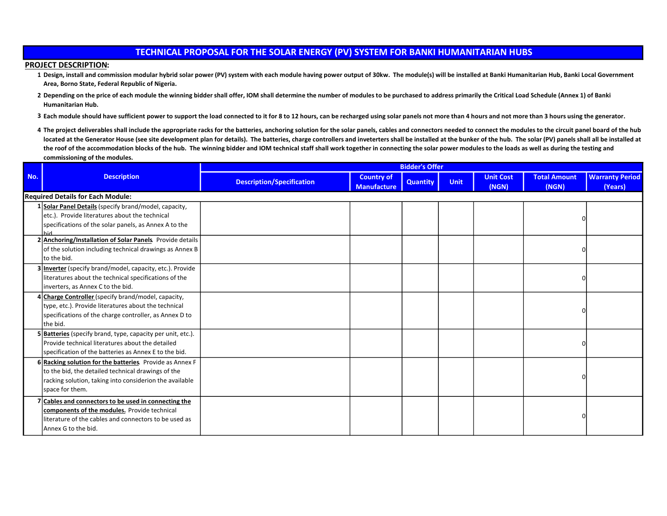## TECHNICAL PROPOSAL FOR THE SOLAR ENERGY (PV) SYSTEM FOR BANKI HUMANITARIAN HUBS

## PROJECT DESCRIPTION:

- 1 Design, install and commission modular hybrid solar power (PV) system with each module having power output of 30kw. The module(s) will be installed at Banki Humanitarian Hub, Banki Local Government Area, Borno State, Federal Republic of Nigeria.
- 2 Depending on the price of each module the winning bidder shall offer, IOM shall determine the number of modules to be purchased to address primarily the Critical Load Schedule (Annex 1) of Banki Humanitarian Hub.
- 3 Each module should have sufficient power to support the load connected to it for 8 to 12 hours, can be recharged using solar panels not more than 4 hours and not more than 3 hours using the generator.
- 4 The project deliverables shall include the appropriate racks for the batteries, anchoring solution for the solar panels, cables and connectors needed to connect the modules to the circuit panel board of the hub located at the Generator House (see site development plan for details). The batteries, charge controllers and inveterters shall be installed at the bunker of the hub. The solar (PV) panels shall all be installed at the roof of the accommodation blocks of the hub. The winning bidder and IOM technical staff shall work together in connecting the solar power modules to the loads as well as during the testing and commissioning of the modules.

|     | <b>Description</b>                                                                                                                                                                           | <b>Bidder's Offer</b>            |                                         |                 |             |                           |                              |                                   |
|-----|----------------------------------------------------------------------------------------------------------------------------------------------------------------------------------------------|----------------------------------|-----------------------------------------|-----------------|-------------|---------------------------|------------------------------|-----------------------------------|
| No. |                                                                                                                                                                                              | <b>Description/Specification</b> | <b>Country of</b><br><b>Manufacture</b> | <b>Quantity</b> | <b>Unit</b> | <b>Unit Cost</b><br>(NGN) | <b>Total Amount</b><br>(NGN) | <b>Warranty Period</b><br>(Years) |
|     | <b>Required Details for Each Module:</b>                                                                                                                                                     |                                  |                                         |                 |             |                           |                              |                                   |
|     | 1 Solar Panel Details (specify brand/model, capacity,<br>etc.). Provide literatures about the technical<br>specifications of the solar panels, as Annex A to the                             |                                  |                                         |                 |             |                           | O                            |                                   |
|     | hid<br>2 Anchoring/Installation of Solar Panels. Provide details<br>of the solution including technical drawings as Annex B<br>lto the bid.                                                  |                                  |                                         |                 |             |                           | <sup>0</sup>                 |                                   |
|     | 3 Inverter (specify brand/model, capacity, etc.). Provide<br>literatures about the technical specifications of the<br>inverters, as Annex C to the bid.                                      |                                  |                                         |                 |             |                           | $\Omega$                     |                                   |
|     | 4 Charge Controller (specify brand/model, capacity,<br>type, etc.). Provide literatures about the technical<br>specifications of the charge controller, as Annex D to<br>lthe bid.           |                                  |                                         |                 |             |                           |                              |                                   |
|     | 5 Batteries (specify brand, type, capacity per unit, etc.).<br>Provide technical literatures about the detailed<br>specification of the batteries as Annex E to the bid.                     |                                  |                                         |                 |             |                           | $\Omega$                     |                                   |
|     | 6 Racking solution for the batteries. Provide as Annex F<br>to the bid, the detailed technical drawings of the<br>racking solution, taking into considerion the available<br>space for them. |                                  |                                         |                 |             |                           | O                            |                                   |
|     | Cables and connectors to be used in connecting the<br>components of the modules. Provide technical<br>literature of the cables and connectors to be used as<br>lAnnex G to the bid.          |                                  |                                         |                 |             |                           |                              |                                   |